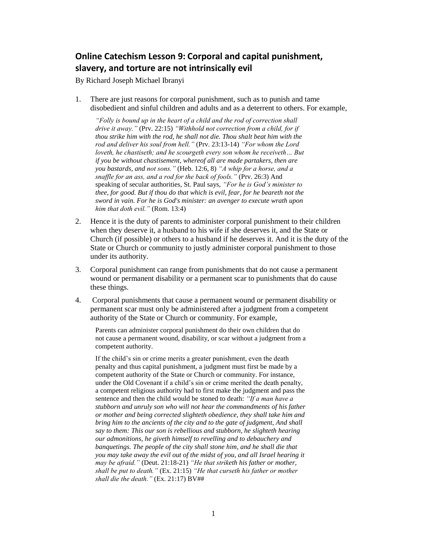## **Online Catechism Lesson 9: Corporal and capital punishment, slavery, and torture are not intrinsically evil**

By Richard Joseph Michael Ibranyi

1. There are just reasons for corporal punishment, such as to punish and tame disobedient and sinful children and adults and as a deterrent to others. For example,

*"Folly is bound up in the heart of a child and the rod of correction shall drive it away."* (Prv. 22:15) *"Withhold not correction from a child, for if thou strike him with the rod, he shall not die. Thou shalt beat him with the rod and deliver his soul from hell."* (Prv. 23:13-14) *"For whom the Lord loveth, he chastiseth; and he scourgeth every son whom he receiveth… But if you be without chastisement, whereof all are made partakers, then are you bastards, and not sons."* (Heb. 12:6, 8) *"A whip for a horse, and a snaffle for an ass, and a rod for the back of fools."* (Prv. 26:3) And speaking of secular authorities, St. Paul says, *"For he is God's minister to thee, for good. But if thou do that which is evil, fear, for he beareth not the sword in vain. For he is God's minister: an avenger to execute wrath upon him that doth evil."* (Rom. 13:4)

- 2. Hence it is the duty of parents to administer corporal punishment to their children when they deserve it, a husband to his wife if she deserves it, and the State or Church (if possible) or others to a husband if he deserves it. And it is the duty of the State or Church or community to justly administer corporal punishment to those under its authority.
- 3. Corporal punishment can range from punishments that do not cause a permanent wound or permanent disability or a permanent scar to punishments that do cause these things.
- 4. Corporal punishments that cause a permanent wound or permanent disability or permanent scar must only be administered after a judgment from a competent authority of the State or Church or community. For example,

Parents can administer corporal punishment do their own children that do not cause a permanent wound, disability, or scar without a judgment from a competent authority.

If the child's sin or crime merits a greater punishment, even the death penalty and thus capital punishment, a judgment must first be made by a competent authority of the State or Church or community. For instance, under the Old Covenant if a child's sin or crime merited the death penalty, a competent religious authority had to first make the judgment and pass the sentence and then the child would be stoned to death: *"If a man have a stubborn and unruly son who will not hear the commandments of his father or mother and being corrected slighteth obedience, they shall take him and bring him to the ancients of the city and to the gate of judgment, And shall say to them: This our son is rebellious and stubborn, he slighteth hearing our admonitions, he giveth himself to revelling and to debauchery and banquetings. The people of the city shall stone him, and he shall die that you may take away the evil out of the midst of you, and all Israel hearing it may be afraid."* (Deut. 21:18-21) *"He that striketh his father or mother, shall be put to death."* (Ex. 21:15) *"He that curseth his father or mother shall die the death."* (Ex. 21:17) BV##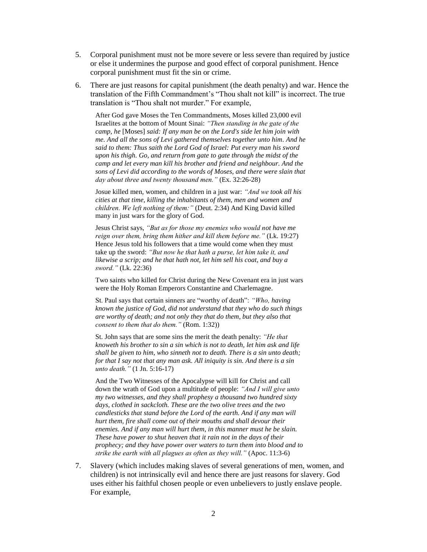- 5. Corporal punishment must not be more severe or less severe than required by justice or else it undermines the purpose and good effect of corporal punishment. Hence corporal punishment must fit the sin or crime.
- 6. There are just reasons for capital punishment (the death penalty) and war. Hence the translation of the Fifth Commandment's "Thou shalt not kill" is incorrect. The true translation is "Thou shalt not murder." For example,

After God gave Moses the Ten Commandments, Moses killed 23,000 evil Israelites at the bottom of Mount Sinai: *"Then standing in the gate of the camp, he* [Moses] *said: If any man be on the Lord's side let him join with me. And all the sons of Levi gathered themselves together unto him. And he said to them: Thus saith the Lord God of Israel: Put every man his sword upon his thigh. Go, and return from gate to gate through the midst of the camp and let every man kill his brother and friend and neighbour. And the sons of Levi did according to the words of Moses, and there were slain that day about three and twenty thousand men."* (Ex. 32:26-28)

Josue killed men, women, and children in a just war: *"And we took all his cities at that time, killing the inhabitants of them, men and women and children. We left nothing of them:"* (Deut. 2:34) And King David killed many in just wars for the glory of God.

Jesus Christ says, *"But as for those my enemies who would not have me reign over them, bring them hither and kill them before me."* (Lk. 19:27) Hence Jesus told his followers that a time would come when they must take up the sword: *"But now he that hath a purse, let him take it, and likewise a scrip; and he that hath not, let him sell his coat, and buy a sword."* (Lk. 22:36)

Two saints who killed for Christ during the New Covenant era in just wars were the Holy Roman Emperors Constantine and Charlemagne.

St. Paul says that certain sinners are "worthy of death": *"Who, having known the justice of God, did not understand that they who do such things are worthy of death; and not only they that do them, but they also that consent to them that do them."* (Rom. 1:32))

St. John says that are some sins the merit the death penalty: *"He that knoweth his brother to sin a sin which is not to death, let him ask and life shall be given to him, who sinneth not to death. There is a sin unto death; for that I say not that any man ask. All iniquity is sin. And there is a sin unto death."* (1 Jn. 5:16-17)

And the Two Witnesses of the Apocalypse will kill for Christ and call down the wrath of God upon a multitude of people: *"And I will give unto my two witnesses, and they shall prophesy a thousand two hundred sixty days, clothed in sackcloth. These are the two olive trees and the two candlesticks that stand before the Lord of the earth. And if any man will hurt them, fire shall come out of their mouths and shall devour their enemies. And if any man will hurt them, in this manner must he be slain. These have power to shut heaven that it rain not in the days of their prophecy; and they have power over waters to turn them into blood and to strike the earth with all plagues as often as they will."* (Apoc. 11:3-6)

7. Slavery (which includes making slaves of several generations of men, women, and children) is not intrinsically evil and hence there are just reasons for slavery. God uses either his faithful chosen people or even unbelievers to justly enslave people. For example,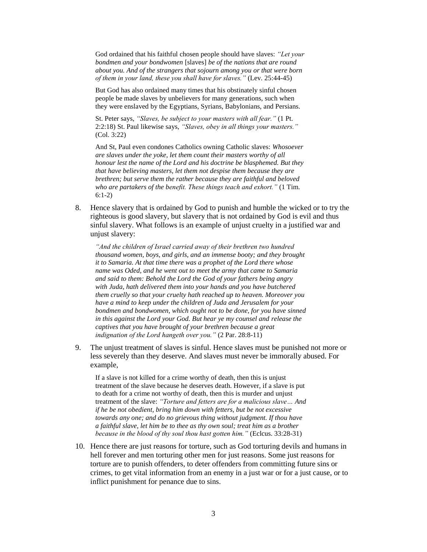God ordained that his faithful chosen people should have slaves: *"Let your bondmen and your bondwomen* [slaves] *be of the nations that are round about you. And of the strangers that sojourn among you or that were born of them in your land, these you shall have for slaves."* (Lev. 25:44-45)

But God has also ordained many times that his obstinately sinful chosen people be made slaves by unbelievers for many generations, such when they were enslaved by the Egyptians, Syrians, Babylonians, and Persians.

St. Peter says, *"Slaves, be subject to your masters with all fear."* (1 Pt. 2:2:18) St. Paul likewise says, *"Slaves, obey in all things your masters."* (Col. 3:22)

And St, Paul even condones Catholics owning Catholic slaves: *Whosoever are slaves under the yoke, let them count their masters worthy of all honour lest the name of the Lord and his doctrine be blasphemed. But they that have believing masters, let them not despise them because they are brethren; but serve them the rather because they are faithful and beloved who are partakers of the benefit. These things teach and exhort."* (1 Tim. 6:1-2)

8. Hence slavery that is ordained by God to punish and humble the wicked or to try the righteous is good slavery, but slavery that is not ordained by God is evil and thus sinful slavery. What follows is an example of unjust cruelty in a justified war and unjust slavery:

*"And the children of Israel carried away of their brethren two hundred thousand women, boys, and girls, and an immense booty; and they brought it to Samaria. At that time there was a prophet of the Lord there whose name was Oded, and he went out to meet the army that came to Samaria and said to them: Behold the Lord the God of your fathers being angry with Juda, hath delivered them into your hands and you have butchered them cruelly so that your cruelty hath reached up to heaven. Moreover you have a mind to keep under the children of Juda and Jerusalem for your bondmen and bondwomen, which ought not to be done, for you have sinned in this against the Lord your God. But hear ye my counsel and release the captives that you have brought of your brethren because a great indignation of the Lord hangeth over you."* (2 Par. 28:8-11)

9. The unjust treatment of slaves is sinful. Hence slaves must be punished not more or less severely than they deserve. And slaves must never be immorally abused. For example,

If a slave is not killed for a crime worthy of death, then this is unjust treatment of the slave because he deserves death. However, if a slave is put to death for a crime not worthy of death, then this is murder and unjust treatment of the slave: *"Torture and fetters are for a malicious slave… And if he be not obedient, bring him down with fetters, but be not excessive towards any one; and do no grievous thing without judgment. If thou have a faithful slave, let him be to thee as thy own soul; treat him as a brother because in the blood of thy soul thou hast gotten him."* (Eclcus. 33:28-31)

10. Hence there are just reasons for torture, such as God torturing devils and humans in hell forever and men torturing other men for just reasons. Some just reasons for torture are to punish offenders, to deter offenders from committing future sins or crimes, to get vital information from an enemy in a just war or for a just cause, or to inflict punishment for penance due to sins.